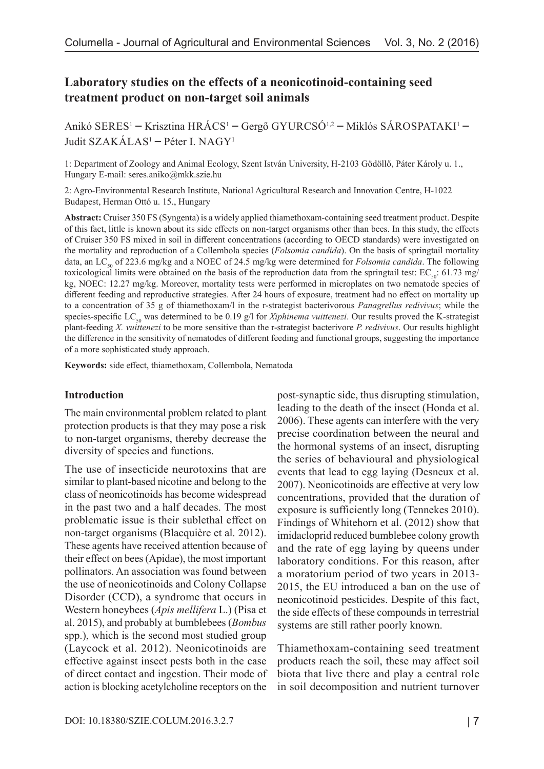# **Laboratory studies on the effects of a neonicotinoid-containing seed treatment product on non-target soil animals**

Anikó SERES<sup>1</sup> – Krisztina HRÁCS<sup>1</sup> – Gergő GYURCSÓ<sup>1,2</sup> – Miklós SÁROSPATAKI<sup>1</sup> – Judit SZAKÁLAS1 – Péter I. NAGY1

1: Department of Zoology and Animal Ecology, Szent István University, H-2103 Gödöllő, Páter Károly u. 1., Hungary E-mail: seres.aniko@mkk.szie.hu

2: Agro-Environmental Research Institute, National Agricultural Research and Innovation Centre, H-1022 Budapest, Herman Ottó u. 15., Hungary

**Abstract:** Cruiser 350 FS (Syngenta) is a widely applied thiamethoxam-containing seed treatment product. Despite of this fact, little is known about its side effects on non-target organisms other than bees. In this study, the effects of Cruiser 350 FS mixed in soil in different concentrations (according to OECD standards) were investigated on the mortality and reproduction of a Collembola species (*Folsomia candida*). On the basis of springtail mortality data, an LC<sub>50</sub> of 223.6 mg/kg and a NOEC of 24.5 mg/kg were determined for *Folsomia candida*. The following toxicological limits were obtained on the basis of the reproduction data from the springtail test:  $EC_{\rm so}$ : 61.73 mg/ kg, NOEC: 12.27 mg/kg. Moreover, mortality tests were performed in microplates on two nematode species of different feeding and reproductive strategies. After 24 hours of exposure, treatment had no effect on mortality up to a concentration of 35 g of thiamethoxam/l in the r-strategist bacterivorous *Panagrellus redivivus*; while the species-specific LC<sub>50</sub> was determined to be 0.19 g/l for *Xiphinema vuittenezi*. Our results proved the K-strategist plant-feeding *X. vuittenezi* to be more sensitive than the r-strategist bacterivore *P. redivivus*. Our results highlight the difference in the sensitivity of nematodes of different feeding and functional groups, suggesting the importance of a more sophisticated study approach.

**Keywords:** side effect, thiamethoxam, Collembola, Nematoda

### **Introduction**

The main environmental problem related to plant protection products is that they may pose a risk to non-target organisms, thereby decrease the diversity of species and functions.

The use of insecticide neurotoxins that are similar to plant-based nicotine and belong to the class of neonicotinoids has become widespread in the past two and a half decades. The most problematic issue is their sublethal effect on non-target organisms (Blacquière et al. 2012). These agents have received attention because of their effect on bees (Apidae), the most important pollinators. An association was found between the use of neonicotinoids and Colony Collapse Disorder (CCD), a syndrome that occurs in Western honeybees (*Apis mellifera* L.) (Pisa et al. 2015), and probably at bumblebees (*Bombus*  spp.), which is the second most studied group (Laycock et al. 2012). Neonicotinoids are effective against insect pests both in the case of direct contact and ingestion. Their mode of action is blocking acetylcholine receptors on the

post-synaptic side, thus disrupting stimulation, leading to the death of the insect (Honda et al. 2006). These agents can interfere with the very precise coordination between the neural and the hormonal systems of an insect, disrupting the series of behavioural and physiological events that lead to egg laying (Desneux et al. 2007). Neonicotinoids are effective at very low concentrations, provided that the duration of exposure is sufficiently long (Tennekes 2010). Findings of Whitehorn et al. (2012) show that imidacloprid reduced bumblebee colony growth and the rate of egg laying by queens under laboratory conditions. For this reason, after a moratorium period of two years in 2013- 2015, the EU introduced a ban on the use of neonicotinoid pesticides. Despite of this fact, the side effects of these compounds in terrestrial systems are still rather poorly known.

Thiamethoxam-containing seed treatment products reach the soil, these may affect soil biota that live there and play a central role in soil decomposition and nutrient turnover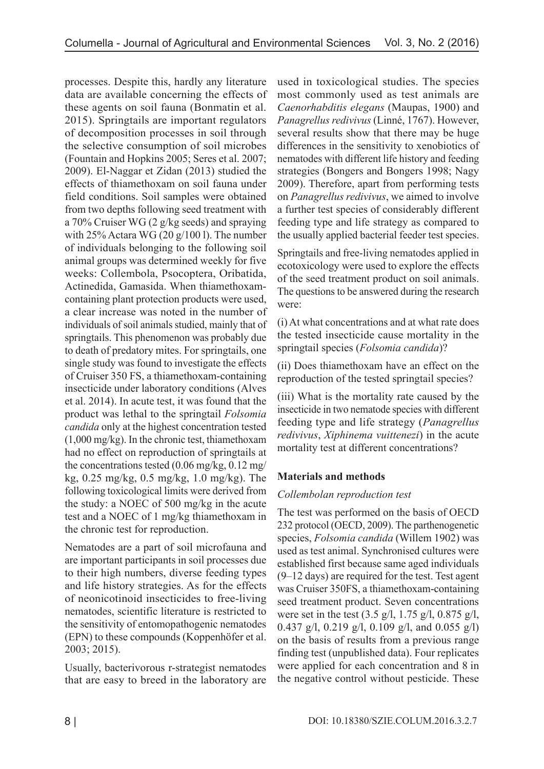processes. Despite this, hardly any literature data are available concerning the effects of these agents on soil fauna (Bonmatin et al. 2015). Springtails are important regulators of decomposition processes in soil through the selective consumption of soil microbes (Fountain and Hopkins 2005; Seres et al. 2007; 2009). El-Naggar et Zidan (2013) studied the effects of thiamethoxam on soil fauna under field conditions. Soil samples were obtained from two depths following seed treatment with a 70% Cruiser WG (2 g/kg seeds) and spraying with 25% Actara WG (20 g/100 l). The number of individuals belonging to the following soil animal groups was determined weekly for five weeks: Collembola, Psocoptera, Oribatida, Actinedida, Gamasida. When thiamethoxamcontaining plant protection products were used, a clear increase was noted in the number of individuals of soil animals studied, mainly that of springtails. This phenomenon was probably due to death of predatory mites. For springtails, one single study was found to investigate the effects of Cruiser 350 FS, a thiamethoxam-containing insecticide under laboratory conditions (Alves et al. 2014). In acute test, it was found that the product was lethal to the springtail *Folsomia candida* only at the highest concentration tested (1,000 mg/kg). In the chronic test, thiamethoxam had no effect on reproduction of springtails at the concentrations tested (0.06 mg/kg, 0.12 mg/ kg, 0.25 mg/kg, 0.5 mg/kg, 1.0 mg/kg). The following toxicological limits were derived from the study: a NOEC of 500 mg/kg in the acute test and a NOEC of 1 mg/kg thiamethoxam in the chronic test for reproduction.

Nematodes are a part of soil microfauna and are important participants in soil processes due to their high numbers, diverse feeding types and life history strategies. As for the effects of neonicotinoid insecticides to free-living nematodes, scientific literature is restricted to the sensitivity of entomopathogenic nematodes (EPN) to these compounds (Koppenhöfer et al. 2003; 2015).

Usually, bacterivorous r-strategist nematodes that are easy to breed in the laboratory are used in toxicological studies. The species most commonly used as test animals are *Caenorhabditis elegans* (Maupas, 1900) and *Panagrellus redivivus* (Linné, 1767). However, several results show that there may be huge differences in the sensitivity to xenobiotics of nematodes with different life history and feeding strategies (Bongers and Bongers 1998; Nagy 2009). Therefore, apart from performing tests on *Panagrellus redivivus*, we aimed to involve a further test species of considerably different feeding type and life strategy as compared to the usually applied bacterial feeder test species.

Springtails and free-living nematodes applied in ecotoxicology were used to explore the effects of the seed treatment product on soil animals. The questions to be answered during the research were:

(i) At what concentrations and at what rate does the tested insecticide cause mortality in the springtail species (*Folsomia candida*)?

(ii) Does thiamethoxam have an effect on the reproduction of the tested springtail species?

(iii) What is the mortality rate caused by the insecticide in two nematode species with different feeding type and life strategy (*Panagrellus redivivus*, *Xiphinema vuittenezi*) in the acute mortality test at different concentrations?

# **Materials and methods**

# *Collembolan reproduction test*

The test was performed on the basis of OECD 232 protocol (OECD, 2009). The parthenogenetic species, *Folsomia candida* (Willem 1902) was used as test animal. Synchronised cultures were established first because same aged individuals (9–12 days) are required for the test. Test agent was Cruiser 350FS, a thiamethoxam-containing seed treatment product. Seven concentrations were set in the test (3.5 g/l, 1.75 g/l, 0.875 g/l, 0.437 g/l, 0.219 g/l, 0.109 g/l, and 0.055 g/l) on the basis of results from a previous range finding test (unpublished data). Four replicates were applied for each concentration and 8 in the negative control without pesticide. These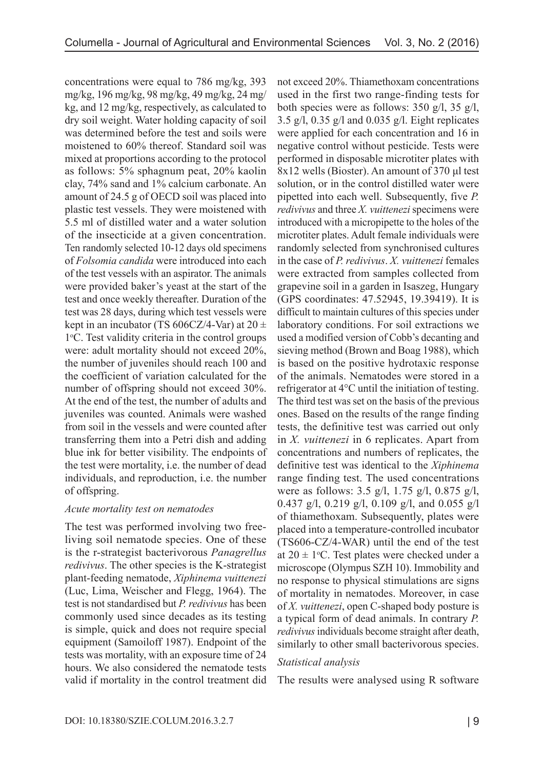concentrations were equal to 786 mg/kg, 393 mg/kg, 196 mg/kg, 98 mg/kg, 49 mg/kg, 24 mg/ kg, and 12 mg/kg, respectively, as calculated to dry soil weight. Water holding capacity of soil was determined before the test and soils were moistened to 60% thereof. Standard soil was mixed at proportions according to the protocol as follows: 5% sphagnum peat, 20% kaolin clay, 74% sand and 1% calcium carbonate. An amount of 24.5 g of OECD soil was placed into plastic test vessels. They were moistened with 5.5 ml of distilled water and a water solution of the insecticide at a given concentration. Ten randomly selected 10-12 days old specimens of *Folsomia candida* were introduced into each of the test vessels with an aspirator. The animals were provided baker's yeast at the start of the test and once weekly thereafter. Duration of the test was 28 days, during which test vessels were kept in an incubator (TS  $606CZ/4$ -Var) at  $20 \pm$ 1°C. Test validity criteria in the control groups were: adult mortality should not exceed 20%, the number of juveniles should reach 100 and the coefficient of variation calculated for the number of offspring should not exceed 30%. At the end of the test, the number of adults and juveniles was counted. Animals were washed from soil in the vessels and were counted after transferring them into a Petri dish and adding blue ink for better visibility. The endpoints of the test were mortality, i.e. the number of dead individuals, and reproduction, i.e. the number of offspring.

## *Acute mortality test on nematodes*

The test was performed involving two freeliving soil nematode species. One of these is the r-strategist bacterivorous *Panagrellus redivivus*. The other species is the K-strategist plant-feeding nematode, *Xiphinema vuittenezi*  (Luc, Lima, Weischer and Flegg, 1964). The test is not standardised but *P. redivivus* has been commonly used since decades as its testing is simple, quick and does not require special equipment (Samoiloff 1987). Endpoint of the tests was mortality, with an exposure time of 24 hours. We also considered the nematode tests valid if mortality in the control treatment did

not exceed 20%. Thiamethoxam concentrations used in the first two range-finding tests for both species were as follows: 350 g/l, 35 g/l, 3.5 g/l, 0.35 g/l and 0.035 g/l. Eight replicates were applied for each concentration and 16 in negative control without pesticide. Tests were performed in disposable microtiter plates with 8x12 wells (Bioster). An amount of 370 μl test solution, or in the control distilled water were pipetted into each well. Subsequently, five *P. redivivus* and three *X. vuittenezi* specimens were introduced with a micropipette to the holes of the microtiter plates. Adult female individuals were randomly selected from synchronised cultures in the case of *P. redivivus*. *X. vuittenezi* females were extracted from samples collected from grapevine soil in a garden in Isaszeg, Hungary (GPS coordinates: 47.52945, 19.39419). It is difficult to maintain cultures of this species under laboratory conditions. For soil extractions we used a modified version of Cobb's decanting and sieving method (Brown and Boag 1988), which is based on the positive hydrotaxic response of the animals. Nematodes were stored in a refrigerator at 4°C until the initiation of testing. The third test was set on the basis of the previous ones. Based on the results of the range finding tests, the definitive test was carried out only in *X. vuittenezi* in 6 replicates. Apart from concentrations and numbers of replicates, the definitive test was identical to the *Xiphinema* range finding test. The used concentrations were as follows: 3.5 g/l, 1.75 g/l, 0.875 g/l, 0.437 g/l, 0.219 g/l, 0.109 g/l, and 0.055 g/l of thiamethoxam. Subsequently, plates were placed into a temperature-controlled incubator (TS606-CZ/4-WAR) until the end of the test at  $20 \pm 1$  °C. Test plates were checked under a microscope (Olympus SZH 10). Immobility and no response to physical stimulations are signs of mortality in nematodes. Moreover, in case of *X. vuittenezi*, open C-shaped body posture is a typical form of dead animals. In contrary *P. redivivus* individuals become straight after death, similarly to other small bacterivorous species.

## *Statistical analysis*

The results were analysed using R software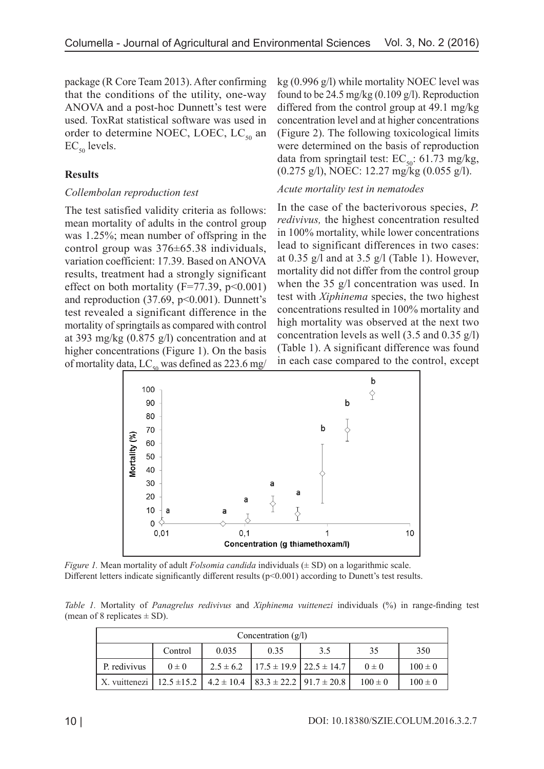package (R Core Team 2013). After confirming that the conditions of the utility, one-way ANOVA and a post-hoc Dunnett's test were used. ToxRat statistical software was used in order to determine NOEC, LOEC,  $LC_{50}$  an  $EC_{50}$  levels.

## **Results**

## *Collembolan reproduction test*

The test satisfied validity criteria as follows: mean mortality of adults in the control group was 1.25%; mean number of offspring in the control group was 376±65.38 individuals, variation coefficient: 17.39. Based on ANOVA results, treatment had a strongly significant effect on both mortality ( $F=77.39$ ,  $p<0.001$ ) and reproduction  $(37.69, p<0.001)$ . Dunnett's test revealed a significant difference in the mortality of springtails as compared with control at 393 mg/kg (0.875 g/l) concentration and at higher concentrations (Figure 1). On the basis of mortality data,  $LC_{50}$  was defined as 223.6 mg/

kg (0.996 g/l) while mortality NOEC level was found to be  $24.5 \text{ mg/kg}$  (0.109 g/l). Reproduction differed from the control group at 49.1 mg/kg concentration level and at higher concentrations (Figure 2). The following toxicological limits were determined on the basis of reproduction data from springtail test:  $EC_{50}$ : 61.73 mg/kg, (0.275 g/l), NOEC: 12.27 mg/kg (0.055 g/l).

## *Acute mortality test in nematodes*

In the case of the bacterivorous species, *P. redivivus,* the highest concentration resulted in 100% mortality, while lower concentrations lead to significant differences in two cases: at 0.35 g/l and at 3.5 g/l (Table 1). However, mortality did not differ from the control group when the 35 g/l concentration was used. In test with *Xiphinema* species, the two highest concentrations resulted in 100% mortality and high mortality was observed at the next two concentration levels as well (3.5 and 0.35 g/l) (Table 1). A significant difference was found in each case compared to the control, except



*Figure 1.* Mean mortality of adult *Folsomia candida* individuals ( $\pm$  SD) on a logarithmic scale. Different letters indicate significantly different results  $(p<0.001)$  according to Dunett's test results.

*Table 1.* Mortality of *Panagrelus redivivus* and *Xiphinema vuittenezi* individuals (%) in range-finding test (mean of 8 replicates  $\pm$  SD).

| Concentration $(g/l)$                                                |           |       |      |                                                   |             |             |
|----------------------------------------------------------------------|-----------|-------|------|---------------------------------------------------|-------------|-------------|
|                                                                      | Control   | 0.035 | 0.35 | 3.5                                               | 35          | 350         |
| P. redivivus                                                         | $0 \pm 0$ |       |      | $2.5 \pm 6.2$   17.5 $\pm$ 19.9   22.5 $\pm$ 14.7 | $0 \pm 0$   | $100 \pm 0$ |
| X. vuittenezi   12.5 ± 15.2   4.2 ± 10.4   83.3 ± 22.2   91.7 ± 20.8 |           |       |      |                                                   | $100 \pm 0$ | $100 \pm 0$ |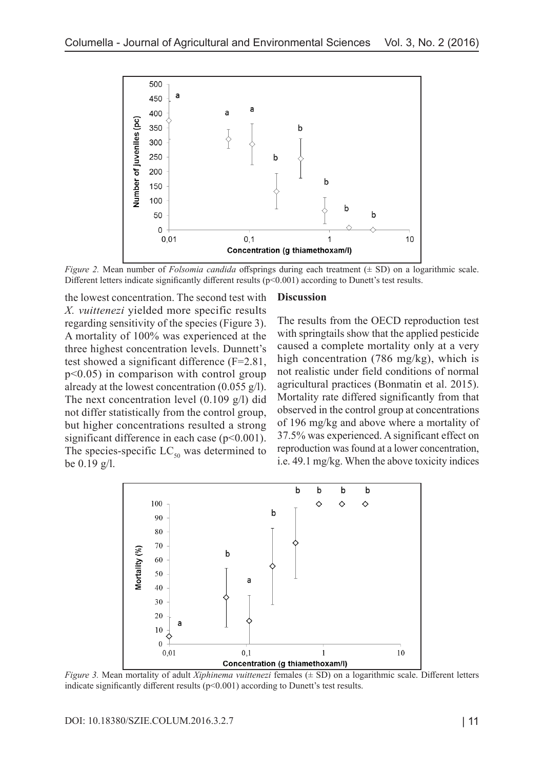

*Figure 2.* Mean number of *Folsomia candida* offsprings during each treatment ( $\pm$  SD) on a logarithmic scale. Different letters indicate significantly different results  $(p<0.001)$  according to Dunett's test results.

the lowest concentration. The second test with *X. vuittenezi* yielded more specific results regarding sensitivity of the species (Figure 3). A mortality of 100% was experienced at the three highest concentration levels. Dunnett's test showed a significant difference (F=2.81, p<0.05) in comparison with control group already at the lowest concentration  $(0.055 \text{ g/l})$ . The next concentration level (0.109 g/l) did not differ statistically from the control group, but higher concentrations resulted a strong significant difference in each case (p<0.001). The species-specific  $LC_{50}$  was determined to be 0.19 g/l.

#### **Discussion**

The results from the OECD reproduction test with springtails show that the applied pesticide caused a complete mortality only at a very high concentration (786 mg/kg), which is not realistic under field conditions of normal agricultural practices (Bonmatin et al. 2015). Mortality rate differed significantly from that observed in the control group at concentrations of 196 mg/kg and above where a mortality of 37.5% was experienced. A significant effect on reproduction was found at a lower concentration, i.e. 49.1 mg/kg. When the above toxicity indices



*Figure 3.* Mean mortality of adult *Xiphinema vuittenezi* females (± SD) on a logarithmic scale. Different letters indicate significantly different results  $(p<0.001)$  according to Dunett's test results.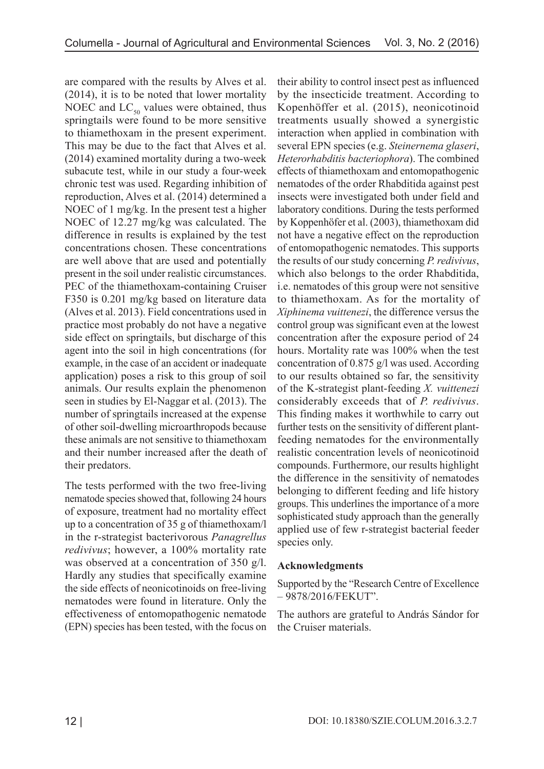are compared with the results by Alves et al. (2014), it is to be noted that lower mortality NOEC and  $LC_{50}$  values were obtained, thus springtails were found to be more sensitive to thiamethoxam in the present experiment. This may be due to the fact that Alves et al. (2014) examined mortality during a two-week subacute test, while in our study a four-week chronic test was used. Regarding inhibition of reproduction, Alves et al. (2014) determined a NOEC of 1 mg/kg. In the present test a higher NOEC of 12.27 mg/kg was calculated. The difference in results is explained by the test concentrations chosen. These concentrations are well above that are used and potentially present in the soil under realistic circumstances. PEC of the thiamethoxam-containing Cruiser F350 is 0.201 mg/kg based on literature data (Alves et al. 2013). Field concentrations used in practice most probably do not have a negative side effect on springtails, but discharge of this agent into the soil in high concentrations (for example, in the case of an accident or inadequate application) poses a risk to this group of soil animals. Our results explain the phenomenon seen in studies by El-Naggar et al. (2013). The number of springtails increased at the expense of other soil-dwelling microarthropods because these animals are not sensitive to thiamethoxam and their number increased after the death of their predators.

The tests performed with the two free-living nematode species showed that, following 24 hours of exposure, treatment had no mortality effect up to a concentration of 35 g of thiamethoxam/l in the r-strategist bacterivorous *Panagrellus redivivus*; however, a 100% mortality rate was observed at a concentration of 350 g/l. Hardly any studies that specifically examine the side effects of neonicotinoids on free-living nematodes were found in literature. Only the effectiveness of entomopathogenic nematode (EPN) species has been tested, with the focus on

their ability to control insect pest as influenced by the insecticide treatment. According to Kopenhöffer et al. (2015), neonicotinoid treatments usually showed a synergistic interaction when applied in combination with several EPN species (e.g. *Steinernema glaseri*, *Heterorhabditis bacteriophora*). The combined effects of thiamethoxam and entomopathogenic nematodes of the order Rhabditida against pest insects were investigated both under field and laboratory conditions. During the tests performed by Koppenhöfer et al. (2003), thiamethoxam did not have a negative effect on the reproduction of entomopathogenic nematodes. This supports the results of our study concerning *P. redivivus*, which also belongs to the order Rhabditida, i.e. nematodes of this group were not sensitive to thiamethoxam. As for the mortality of *Xiphinema vuittenezi*, the difference versus the control group was significant even at the lowest concentration after the exposure period of 24 hours. Mortality rate was 100% when the test concentration of 0.875 g/l was used. According to our results obtained so far, the sensitivity of the K-strategist plant-feeding *X. vuittenezi* considerably exceeds that of *P. redivivus*. This finding makes it worthwhile to carry out further tests on the sensitivity of different plantfeeding nematodes for the environmentally realistic concentration levels of neonicotinoid compounds. Furthermore, our results highlight the difference in the sensitivity of nematodes belonging to different feeding and life history groups. This underlines the importance of a more sophisticated study approach than the generally applied use of few r-strategist bacterial feeder species only.

## **Acknowledgments**

Supported by the "Research Centre of Excellence – 9878/2016/FEKUT".

The authors are grateful to András Sándor for the Cruiser materials.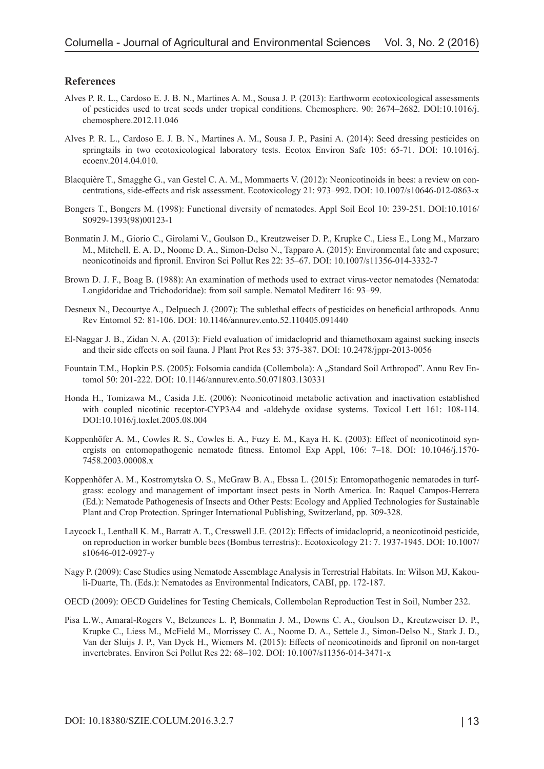#### **References**

- Alves P. R. L., Cardoso E. J. B. N., Martines A. M., Sousa J. P. (2013): Earthworm ecotoxicological assessments of pesticides used to treat seeds under tropical conditions. Chemosphere. 90: 2674–2682. DOI:10.1016/j. chemosphere.2012.11.046
- Alves P. R. L., Cardoso E. J. B. N., Martines A. M., Sousa J. P., Pasini A. (2014): Seed dressing pesticides on springtails in two ecotoxicological laboratory tests. Ecotox Environ Safe 105: 65-71. DOI: 10.1016/j. ecoenv.2014.04.010.
- Blacquière T., Smagghe G., van Gestel C. A. M., Mommaerts V. (2012): Neonicotinoids in bees: a review on concentrations, side-effects and risk assessment. Ecotoxicology 21: 973–992. DOI: 10.1007/s10646-012-0863-x
- Bongers T., Bongers M. (1998): Functional diversity of nematodes. Appl Soil Ecol 10: 239-251. DOI:10.1016/ S0929-1393(98)00123-1
- Bonmatin J. M., Giorio C., Girolami V., Goulson D., Kreutzweiser D. P., Krupke C., Liess E., Long M., Marzaro M., Mitchell, E. A. D., Noome D. A., Simon-Delso N., Tapparo A. (2015): Environmental fate and exposure; neonicotinoids and fipronil. Environ Sci Pollut Res 22: 35–67. DOI: 10.1007/s11356-014-3332-7
- Brown D. J. F., Boag B. (1988): An examination of methods used to extract virus-vector nematodes (Nematoda: Longidoridae and Trichodoridae): from soil sample. Nematol Mediterr 16: 93–99.
- Desneux N., Decourtye A., Delpuech J. (2007): The sublethal effects of pesticides on beneficial arthropods. Annu Rev Entomol 52: 81-106. DOI: 10.1146/annurev.ento.52.110405.091440
- El-Naggar J. B., Zidan N. A. (2013): Field evaluation of imidacloprid and thiamethoxam against sucking insects and their side effects on soil fauna. J Plant Prot Res 53: 375-387. DOI: 10.2478/jppr-2013-0056
- Fountain T.M., Hopkin P.S. (2005): Folsomia candida (Collembola): A "Standard Soil Arthropod". Annu Rev Entomol 50: 201-222. DOI: 10.1146/annurev.ento.50.071803.130331
- Honda H., Tomizawa M., Casida J.E. (2006): Neonicotinoid metabolic activation and inactivation established with coupled nicotinic receptor-CYP3A4 and -aldehyde oxidase systems. Toxicol Lett 161: 108-114. DOI:10.1016/j.toxlet.2005.08.004
- Koppenhöfer A. M., Cowles R. S., Cowles E. A., Fuzy E. M., Kaya H. K. (2003): Effect of neonicotinoid synergists on entomopathogenic nematode fitness. Entomol Exp Appl, 106: 7–18. DOI: 10.1046/j.1570- 7458.2003.00008.x
- Koppenhöfer A. M., Kostromytska O. S., McGraw B. A., Ebssa L. (2015): Entomopathogenic nematodes in turfgrass: ecology and management of important insect pests in North America. In: Raquel Campos-Herrera (Ed.): Nematode Pathogenesis of Insects and Other Pests: Ecology and Applied Technologies for Sustainable Plant and Crop Protection. Springer International Publishing, Switzerland, pp. 309-328.
- Laycock I., Lenthall K. M., Barratt A. T., Cresswell J.E. (2012): Effects of imidacloprid, a neonicotinoid pesticide, on reproduction in worker bumble bees (Bombus terrestris):. Ecotoxicology 21: 7. 1937-1945. DOI: 10.1007/ s10646-012-0927-y
- Nagy P. (2009): Case Studies using Nematode Assemblage Analysis in Terrestrial Habitats. In: Wilson MJ, Kakouli-Duarte, Th. (Eds.): Nematodes as Environmental Indicators, CABI, pp. 172-187.
- OECD (2009): OECD Guidelines for Testing Chemicals, Collembolan Reproduction Test in Soil, Number 232.
- Pisa L.W., Amaral-Rogers V., Belzunces L. P, Bonmatin J. M., Downs C. A., Goulson D., Kreutzweiser D. P., Krupke C., Liess M., McField M., Morrissey C. A., Noome D. A., Settele J., Simon-Delso N., Stark J. D., Van der Sluijs J. P., Van Dyck H., Wiemers M. (2015): Effects of neonicotinoids and fipronil on non-target invertebrates. Environ Sci Pollut Res 22: 68–102. DOI: 10.1007/s11356-014-3471-x